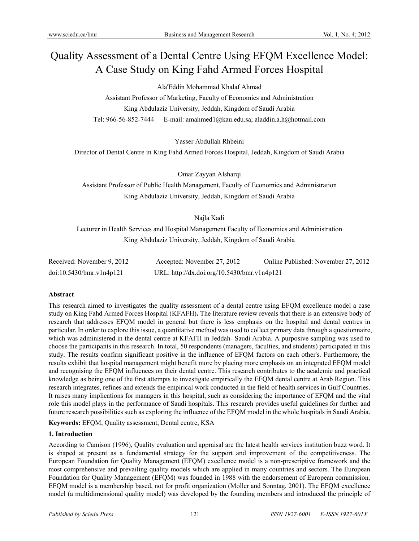# Quality Assessment of a Dental Centre Using EFQM Excellence Model: A Case Study on King Fahd Armed Forces Hospital

Ala'Eddin Mohammad Khalaf Ahmad

Assistant Professor of Marketing, Faculty of Economics and Administration King Abdulaziz University, Jeddah, Kingdom of Saudi Arabia Tel: 966-56-852-7444 E-mail: amahmed1@kau.edu.sa; aladdin.a.h@hotmail.com

Yasser Abdullah Rhbeini

Director of Dental Centre in King Fahd Armed Forces Hospital, Jeddah, Kingdom of Saudi Arabia

Omar Zayyan Alsharqi

Assistant Professor of Public Health Management, Faculty of Economics and Administration King Abdulaziz University, Jeddah, Kingdom of Saudi Arabia

# Najla Kadi

Lecturer in Health Services and Hospital Management Faculty of Economics and Administration King Abdulaziz University, Jeddah, Kingdom of Saudi Arabia

| Received: November 9, 2012 | Accepted: November 27, 2012                 | Online Published: November 27, 2012 |
|----------------------------|---------------------------------------------|-------------------------------------|
| doi:10.5430/bmr.v1n4p121   | URL: http://dx.doi.org/10.5430/bmr.v1n4p121 |                                     |

## **Abstract**

This research aimed to investigates the quality assessment of a dental centre using EFQM excellence model a case study on King Fahd Armed Forces Hospital (KFAFH)**.** The literature review reveals that there is an extensive body of research that addresses EFQM model in general but there is less emphasis on the hospital and dental centres in particular. In order to explore this issue, a quantitative method was used to collect primary data through a questionnaire, which was administered in the dental centre at KFAFH in Jeddah- Saudi Arabia. A purposive sampling was used to choose the participants in this research. In total, 50 respondents (managers, faculties, and students) participated in this study. The results confirm significant positive in the influence of EFQM factors on each other's. Furthermore, the results exhibit that hospital management might benefit more by placing more emphasis on an integrated EFQM model and recognising the EFQM influences on their dental centre. This research contributes to the academic and practical knowledge as being one of the first attempts to investigate empirically the EFQM dental centre at Arab Region. This research integrates, refines and extends the empirical work conducted in the field of health services in Gulf Countries. It raises many implications for managers in this hospital, such as considering the importance of EFQM and the vital role this model plays in the performance of Saudi hospitals. This research provides useful guidelines for further and future research possibilities such as exploring the influence of the EFQM model in the whole hospitals in Saudi Arabia.

**Keywords:** EFQM, Quality assessment, Dental centre, KSA

## **1. Introduction**

According to Camison (1996), Quality evaluation and appraisal are the latest health services institution buzz word. It is shaped at present as a fundamental strategy for the support and improvement of the competitiveness. The European Foundation for Quality Management (EFQM) excellence model is a non-prescriptive framework and the most comprehensive and prevailing quality models which are applied in many countries and sectors. The European Foundation for Quality Management (EFQM) was founded in 1988 with the endorsement of European commission. EFQM model is a membership based, not for profit organization (Moller and Sonntag, 2001). The EFQM excellence model (a multidimensional quality model) was developed by the founding members and introduced the principle of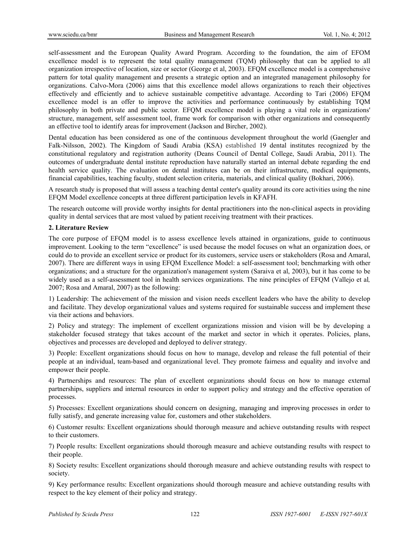self-assessment and the European Quality Award Program. According to the foundation, the aim of EFOM excellence model is to represent the total quality management (TQM) philosophy that can be applied to all organization irrespective of location, size or sector (George et al, 2003). EFQM excellence model is a comprehensive pattern for total quality management and presents a strategic option and an integrated management philosophy for organizations. Calvo-Mora (2006) aims that this excellence model allows organizations to reach their objectives effectively and efficiently and to achieve sustainable competitive advantage. According to Tari (2006) EFQM excellence model is an offer to improve the activities and performance continuously by establishing TQM philosophy in both private and public sector. EFQM excellence model is playing a vital role in organizations' structure, management, self assessment tool, frame work for comparison with other organizations and consequently an effective tool to identify areas for improvement (Jackson and Bircher, 2002).

Dental education has been considered as one of the continuous development throughout the world (Gaengler and Falk-Nilsson, 2002). The Kingdom of Saudi Arabia (KSA) established 19 dental institutes recognized by the constitutional regulatory and registration authority (Deans Council of Dental College, Saudi Arabia, 2011). The outcomes of undergraduate dental institute reproduction have naturally started an internal debate regarding the end health service quality. The evaluation on dental institutes can be on their infrastructure, medical equipments, financial capabilities, teaching faculty, student selection criteria, materials, and clinical quality (Bokhari, 2006).

A research study is proposed that will assess a teaching dental center's quality around its core activities using the nine EFQM Model excellence concepts at three different participation levels in KFAFH.

The research outcome will provide worthy insights for dental practitioners into the non-clinical aspects in providing quality in dental services that are most valued by patient receiving treatment with their practices.

#### **2. Literature Review**

The core purpose of EFQM model is to assess excellence levels attained in organizations, guide to continuous improvement. Looking to the term "excellence" is used because the model focuses on what an organization does, or could do to provide an excellent service or product for its customers, service users or stakeholders (Rosa and Amaral, 2007). There are different ways in using EFQM Excellence Model: a self-assessment tool; benchmarking with other organizations; and a structure for the organization's management system (Saraiva et al, 2003), but it has come to be widely used as a self-assessment tool in health services organizations. The nine principles of EFQM (Vallejo et al*,*  2007; Rosa and Amaral, 2007) as the following:

1) Leadership: The achievement of the mission and vision needs excellent leaders who have the ability to develop and facilitate. They develop organizational values and systems required for sustainable success and implement these via their actions and behaviors.

2) Policy and strategy: The implement of excellent organizations mission and vision will be by developing a stakeholder focused strategy that takes account of the market and sector in which it operates. Policies, plans, objectives and processes are developed and deployed to deliver strategy.

3) People: Excellent organizations should focus on how to manage, develop and release the full potential of their people at an individual, team-based and organizational level. They promote fairness and equality and involve and empower their people.

4) Partnerships and resources: The plan of excellent organizations should focus on how to manage external partnerships, suppliers and internal resources in order to support policy and strategy and the effective operation of processes.

5) Processes: Excellent organizations should concern on designing, managing and improving processes in order to fully satisfy, and generate increasing value for, customers and other stakeholders.

6) Customer results: Excellent organizations should thorough measure and achieve outstanding results with respect to their customers.

7) People results: Excellent organizations should thorough measure and achieve outstanding results with respect to their people.

8) Society results: Excellent organizations should thorough measure and achieve outstanding results with respect to society.

9) Key performance results: Excellent organizations should thorough measure and achieve outstanding results with respect to the key element of their policy and strategy.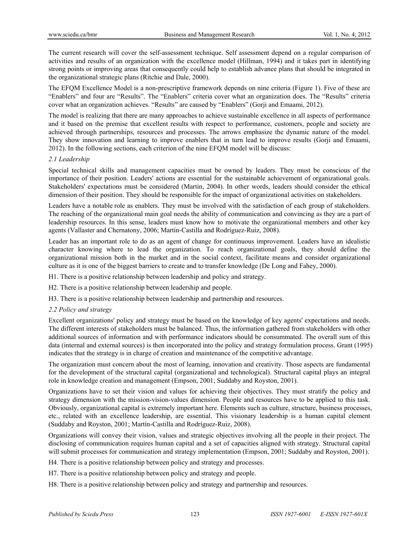The current research will cover the self-assessment technique. Self assessment depend on a regular comparison of activities and results of an organization with the excellence model (Hillman, 1994) and it takes part in identifying strong points or improving areas that consequently could help to establish advance plans that should be integrated in the organizational strategic plans (Ritchie and Dale, 2000).

The EFQM Excellence Model is a non-prescriptive framework depends on nine criteria (Figure 1). Five of these are "Enablers" and four are "Results". The "Enablers" criteria cover what an organization does. The "Results" criteria cover what an organization achieves. "Results" are caused by "Enablers" (Gorji and Emaami, 2012).

The model is realizing that there are many approaches to achieve sustainable excellence in all aspects of performance and it based on the premise that excellent results with respect to performance, customers, people and society are achieved through partnerships, resources and processes. The arrows emphasize the dynamic nature of the model. They show innovation and learning to improve enablers that in turn lead to improve results (Gorji and Emaami, 2012). In the following sections, each criterion of the nine EFQM model will be discuss:

#### *2.1 Leadership*

Special technical skills and management capacities must be owned by leaders. They must be conscious of the importance of their position. Leaders' actions are essential for the sustainable achievement of organizational goals. Stakeholders' expectations must be considered (Martin, 2004). In other words, leaders should consider the ethical dimension of their position. They should be responsible for the impact of organizational activities on stakeholders.

Leaders have a notable role as enablers. They must be involved with the satisfaction of each group of stakeholders. The reaching of the organizational main goal needs the ability of communication and convincing as they are a part of leadership resources. In this sense, leaders must know how to motivate the organizational members and other key agents (Vallaster and Chernatony, 2006; Martín-Castilla and Rodríguez-Ruiz, 2008).

Leader has an important role to do as an agent of change for continuous improvement. Leaders have an idealistic character knowing where to lead the organization. To reach organizational goals, they should define the organizational mission both in the market and in the social context, facilitate means and consider organizational culture as it is one of the biggest barriers to create and to transfer knowledge (De Long and Fahey, 2000).

H1. There is a positive relationship between leadership and policy and strategy.

H2. There is a positive relationship between leadership and people.

H3. There is a positive relationship between leadership and partnership and resources.

## *2.2 Policy and strategy*

Excellent organizations' policy and strategy must be based on the knowledge of key agents' expectations and needs. The different interests of stakeholders must be balanced. Thus, the information gathered from stakeholders with other additional sources of information and with performance indicators should be consummated. The overall sum of this data (internal and external sources) is then incorporated into the policy and strategy formulation process. Grant (1995) indicates that the strategy is in charge of creation and maintenance of the competitive advantage.

The organization must concern about the most of learning, innovation and creativity. Those aspects are fundamental for the development of the structural capital (organizational and technological). Structural capital plays an integral role in knowledge creation and management (Empson, 2001; Suddaby and Royston, 2001).

Organizations have to set their vision and values for achieving their objectives. They must stratify the policy and strategy dimension with the mission-vision-values dimension. People and resources have to be applied to this task. Obviously, organizational capital is extremely important here. Elements such as culture, structure, business processes, etc., related with an excellence leadership, are essential. This visionary leadership is a human capital element (Suddaby and Royston, 2001; Martín-Castilla and Rodríguez-Ruiz, 2008).

Organizations will convey their vision, values and strategic objectives involving all the people in their project. The disclosing of communication requires human capital and a set of capacities aligned with strategy. Structural capital will submit processes for communication and strategy implementation (Empson, 2001; Suddaby and Royston, 2001).

H4. There is a positive relationship between policy and strategy and processes.

H7. There is a positive relationship between policy and strategy and people.

H8. There is a positive relationship between policy and strategy and partnership and resources.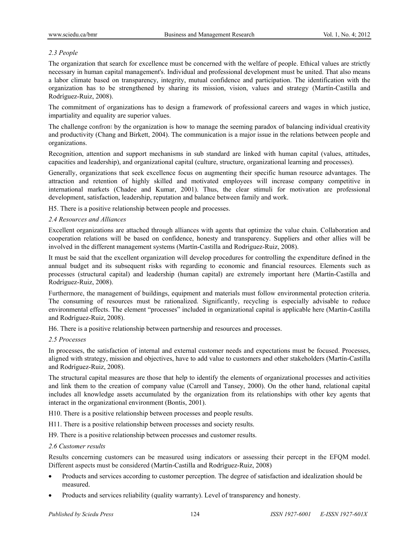## *2.3 People*

The organization that search for excellence must be concerned with the welfare of people. Ethical values are strictly necessary in human capital management's. Individual and professional development must be united. That also means a labor climate based on transparency, integrity, mutual confidence and participation. The identification with the organization has to be strengthened by sharing its mission, vision, values and strategy (Martín-Castilla and Rodríguez-Ruiz, 2008).

The commitment of organizations has to design a framework of professional careers and wages in which justice, impartiality and equality are superior values.

The challenge confront by the organization is how to manage the seeming paradox of balancing individual creativity and productivity (Chang and Birkett, 2004). The communication is a major issue in the relations between people and organizations.

Recognition, attention and support mechanisms in sub standard are linked with human capital (values, attitudes, capacities and leadership), and organizational capital (culture, structure, organizational learning and processes).

Generally, organizations that seek excellence focus on augmenting their specific human resource advantages. The attraction and retention of highly skilled and motivated employees will increase company competitive in international markets (Chadee and Kumar, 2001). Thus, the clear stimuli for motivation are professional development, satisfaction, leadership, reputation and balance between family and work.

H5. There is a positive relationship between people and processes.

#### *2.4 Resources and Alliances*

Excellent organizations are attached through alliances with agents that optimize the value chain. Collaboration and cooperation relations will be based on confidence, honesty and transparency. Suppliers and other allies will be involved in the different management systems (Martín-Castilla and Rodríguez-Ruiz, 2008).

It must be said that the excellent organization will develop procedures for controlling the expenditure defined in the annual budget and its subsequent risks with regarding to economic and financial resources. Elements such as processes (structural capital) and leadership (human capital) are extremely important here (Martín-Castilla and Rodríguez-Ruiz, 2008).

Furthermore, the management of buildings, equipment and materials must follow environmental protection criteria. The consuming of resources must be rationalized. Significantly, recycling is especially advisable to reduce environmental effects. The element "processes" included in organizational capital is applicable here (Martín-Castilla and Rodríguez-Ruiz, 2008).

H6. There is a positive relationship between partnership and resources and processes.

#### *2.5 Processes*

In processes, the satisfaction of internal and external customer needs and expectations must be focused. Processes, aligned with strategy, mission and objectives, have to add value to customers and other stakeholders (Martín-Castilla and Rodríguez-Ruiz, 2008).

The structural capital measures are those that help to identify the elements of organizational processes and activities and link them to the creation of company value (Carroll and Tansey, 2000). On the other hand, relational capital includes all knowledge assets accumulated by the organization from its relationships with other key agents that interact in the organizational environment (Bontis, 2001).

H10. There is a positive relationship between processes and people results.

H11. There is a positive relationship between processes and society results.

H9. There is a positive relationship between processes and customer results.

#### *2.6 Customer results*

Results concerning customers can be measured using indicators or assessing their percept in the EFQM model. Different aspects must be considered (Martín-Castilla and Rodríguez-Ruiz, 2008)

- Products and services according to customer perception. The degree of satisfaction and idealization should be measured.
- Products and services reliability (quality warranty). Level of transparency and honesty.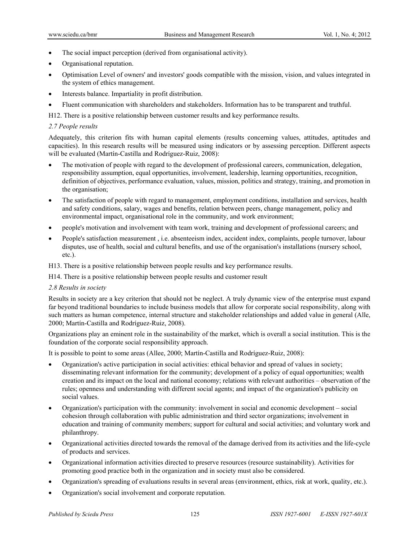- The social impact perception (derived from organisational activity).
- Organisational reputation.
- Optimisation Level of owners' and investors' goods compatible with the mission, vision, and values integrated in the system of ethics management.
- Interests balance. Impartiality in profit distribution.
- Fluent communication with shareholders and stakeholders. Information has to be transparent and truthful.

H12. There is a positive relationship between customer results and key performance results.

#### *2.7 People results*

Adequately, this criterion fits with human capital elements (results concerning values, attitudes, aptitudes and capacities). In this research results will be measured using indicators or by assessing perception. Different aspects will be evaluated (Martín-Castilla and Rodríguez-Ruiz, 2008):

- The motivation of people with regard to the development of professional careers, communication, delegation, responsibility assumption, equal opportunities, involvement, leadership, learning opportunities, recognition, definition of objectives, performance evaluation, values, mission, politics and strategy, training, and promotion in the organisation;
- The satisfaction of people with regard to management, employment conditions, installation and services, health and safety conditions, salary, wages and benefits, relation between peers, change management, policy and environmental impact, organisational role in the community, and work environment;
- people's motivation and involvement with team work, training and development of professional careers; and
- People's satisfaction measurement , i.e. absenteeism index, accident index, complaints, people turnover, labour disputes, use of health, social and cultural benefits, and use of the organisation's installations (nursery school, etc.).

H13. There is a positive relationship between people results and key performance results.

H14. There is a positive relationship between people results and customer result

#### *2.8 Results in society*

Results in society are a key criterion that should not be neglect. A truly dynamic view of the enterprise must expand far beyond traditional boundaries to include business models that allow for corporate social responsibility, along with such matters as human competence, internal structure and stakeholder relationships and added value in general (Alle, 2000; Martín-Castilla and Rodríguez-Ruiz, 2008).

Organizations play an eminent role in the sustainability of the market, which is overall a social institution. This is the foundation of the corporate social responsibility approach.

It is possible to point to some areas (Allee, 2000; Martín-Castilla and Rodríguez-Ruiz, 2008):

- Organization's active participation in social activities: ethical behavior and spread of values in society; disseminating relevant information for the community; development of a policy of equal opportunities; wealth creation and its impact on the local and national economy; relations with relevant authorities – observation of the rules; openness and understanding with different social agents; and impact of the organization's publicity on social values.
- Organization's participation with the community: involvement in social and economic development social cohesion through collaboration with public administration and third sector organizations; involvement in education and training of community members; support for cultural and social activities; and voluntary work and philanthropy.
- Organizational activities directed towards the removal of the damage derived from its activities and the life-cycle of products and services.
- Organizational information activities directed to preserve resources (resource sustainability). Activities for promoting good practice both in the organization and in society must also be considered.
- Organization's spreading of evaluations results in several areas (environment, ethics, risk at work, quality, etc.).
- Organization's social involvement and corporate reputation.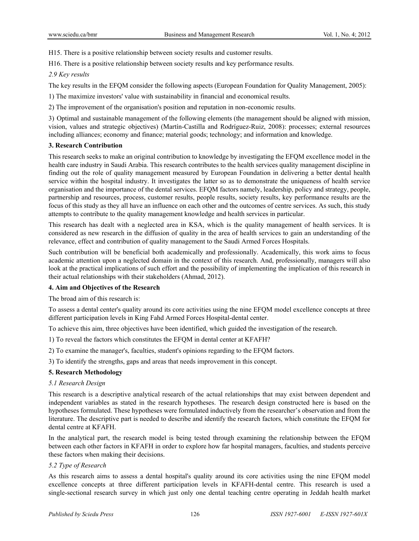H15. There is a positive relationship between society results and customer results.

H16. There is a positive relationship between society results and key performance results.

# *2.9 Key results*

The key results in the EFQM consider the following aspects (European Foundation for Quality Management, 2005):

1) The maximize investors' value with sustainability in financial and economical results.

2) The improvement of the organisation's position and reputation in non-economic results.

3) Optimal and sustainable management of the following elements (the management should be aligned with mission, vision, values and strategic objectives) (Martín-Castilla and Rodríguez-Ruiz, 2008): processes; external resources including alliances; economy and finance; material goods; technology; and information and knowledge.

# **3. Research Contribution**

This research seeks to make an original contribution to knowledge by investigating the EFQM excellence model in the health care industry in Saudi Arabia. This research contributes to the health services quality management discipline in finding out the role of quality management measured by European Foundation in delivering a better dental health service within the hospital industry. It investigates the latter so as to demonstrate the uniqueness of health service organisation and the importance of the dental services. EFQM factors namely, leadership, policy and strategy, people, partnership and resources, process, customer results, people results, society results, key performance results are the focus of this study as they all have an influence on each other and the outcomes of centre services. As such, this study attempts to contribute to the quality management knowledge and health services in particular.

This research has dealt with a neglected area in KSA, which is the quality management of health services. It is considered as new research in the diffusion of quality in the area of health services to gain an understanding of the relevance, effect and contribution of quality management to the Saudi Armed Forces Hospitals.

Such contribution will be beneficial both academically and professionally. Academically, this work aims to focus academic attention upon a neglected domain in the context of this research. And, professionally, managers will also look at the practical implications of such effort and the possibility of implementing the implication of this research in their actual relationships with their stakeholders (Ahmad, 2012).

# **4. Aim and Objectives of the Research**

The broad aim of this research is:

To assess a dental center's quality around its core activities using the nine EFQM model excellence concepts at three different participation levels in King Fahd Armed Forces Hospital-dental center.

To achieve this aim, three objectives have been identified, which guided the investigation of the research.

- 1) To reveal the factors which constitutes the EFQM in dental center at KFAFH?
- 2) To examine the manager's, faculties, student's opinions regarding to the EFQM factors.

3) To identify the strengths, gaps and areas that needs improvement in this concept.

# **5. Research Methodology**

## *5.1 Research Design*

This research is a descriptive analytical research of the actual relationships that may exist between dependent and independent variables as stated in the research hypotheses. The research design constructed here is based on the hypotheses formulated. These hypotheses were formulated inductively from the researcher's observation and from the literature. The descriptive part is needed to describe and identify the research factors, which constitute the EFQM for dental centre at KFAFH.

In the analytical part, the research model is being tested through examining the relationship between the EFQM between each other factors in KFAFH in order to explore how far hospital managers, faculties, and students perceive these factors when making their decisions.

## *5.2 Type of Research*

As this research aims to assess a dental hospital's quality around its core activities using the nine EFQM model excellence concepts at three different participation levels in KFAFH-dental centre. This research is used a single-sectional research survey in which just only one dental teaching centre operating in Jeddah health market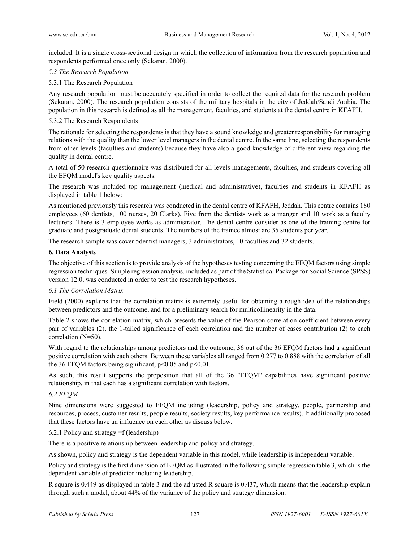included. It is a single cross-sectional design in which the collection of information from the research population and respondents performed once only (Sekaran, 2000).

#### *5.3 The Research Population*

#### 5.3.1 The Research Population

Any research population must be accurately specified in order to collect the required data for the research problem (Sekaran, 2000). The research population consists of the military hospitals in the city of Jeddah/Saudi Arabia. The population in this research is defined as all the management, faculties, and students at the dental centre in KFAFH.

#### 5.3.2 The Research Respondents

The rationale for selecting the respondents is that they have a sound knowledge and greater responsibility for managing relations with the quality than the lower level managers in the dental centre. In the same line, selecting the respondents from other levels (faculties and students) because they have also a good knowledge of different view regarding the quality in dental centre.

A total of 50 research questionnaire was distributed for all levels managements, faculties, and students covering all the EFQM model's key quality aspects.

The research was included top management (medical and administrative), faculties and students in KFAFH as displayed in table 1 below:

As mentioned previously this research was conducted in the dental centre of KFAFH, Jeddah. This centre contains 180 employees (60 dentists, 100 nurses, 20 Clarks). Five from the dentists work as a manger and 10 work as a faculty lecturers. There is 3 employee works as administrator. The dental centre consider as one of the training centre for graduate and postgraduate dental students. The numbers of the trainee almost are 35 students per year.

The research sample was cover 5dentist managers, 3 administrators, 10 faculties and 32 students.

#### **6. Data Analysis**

The objective of this section is to provide analysis of the hypotheses testing concerning the EFQM factors using simple regression techniques. Simple regression analysis, included as part of the Statistical Package for Social Science (SPSS) version 12.0, was conducted in order to test the research hypotheses.

## *6.1 The Correlation Matrix*

Field (2000) explains that the correlation matrix is extremely useful for obtaining a rough idea of the relationships between predictors and the outcome, and for a preliminary search for multicollinearity in the data.

Table 2 shows the correlation matrix, which presents the value of the Pearson correlation coefficient between every pair of variables (2), the 1-tailed significance of each correlation and the number of cases contribution (2) to each correlation (N=50).

With regard to the relationships among predictors and the outcome, 36 out of the 36 EFOM factors had a significant positive correlation with each others. Between these variables all ranged from 0.277 to 0.888 with the correlation of all the 36 EFQM factors being significant,  $p<0.05$  and  $p<0.01$ .

As such, this result supports the proposition that all of the 36 "EFQM" capabilities have significant positive relationship, in that each has a significant correlation with factors.

## *6.2 EFQM*

Nine dimensions were suggested to EFQM including (leadership, policy and strategy, people, partnership and resources, process, customer results, people results, society results, key performance results). It additionally proposed that these factors have an influence on each other as discuss below.

## 6.2.1 Policy and strategy =f (leadership)

There is a positive relationship between leadership and policy and strategy.

As shown, policy and strategy is the dependent variable in this model, while leadership is independent variable.

Policy and strategy is the first dimension of EFQM as illustrated in the following simple regression table 3, which is the dependent variable of predictor including leadership.

R square is 0.449 as displayed in table 3 and the adjusted R square is 0.437, which means that the leadership explain through such a model, about 44% of the variance of the policy and strategy dimension.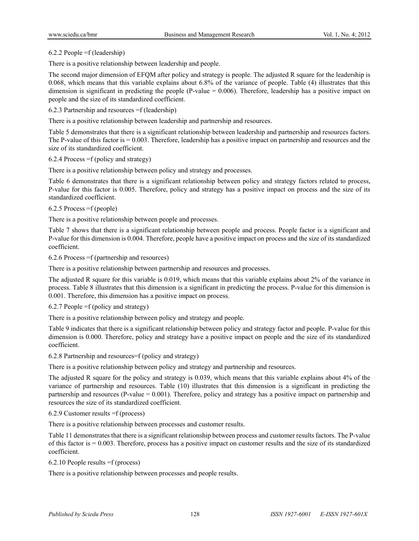#### 6.2.2 People =f (leadership)

There is a positive relationship between leadership and people.

The second major dimension of EFQM after policy and strategy is people. The adjusted R square for the leadership is 0.068, which means that this variable explains about 6.8% of the variance of people. Table (4) illustrates that this dimension is significant in predicting the people  $(P-value = 0.006)$ . Therefore, leadership has a positive impact on people and the size of its standardized coefficient.

6.2.3 Partnership and resources =f (leadership)

There is a positive relationship between leadership and partnership and resources.

Table 5 demonstrates that there is a significant relationship between leadership and partnership and resources factors. The P-value of this factor is  $= 0.003$ . Therefore, leadership has a positive impact on partnership and resources and the size of its standardized coefficient.

6.2.4 Process =f (policy and strategy)

There is a positive relationship between policy and strategy and processes.

Table 6 demonstrates that there is a significant relationship between policy and strategy factors related to process, P-value for this factor is 0.005. Therefore, policy and strategy has a positive impact on process and the size of its standardized coefficient.

6.2.5 Process =f (people)

There is a positive relationship between people and processes.

Table 7 shows that there is a significant relationship between people and process. People factor is a significant and P-value for this dimension is 0.004. Therefore, people have a positive impact on process and the size of its standardized coefficient.

6.2.6 Process =f (partnership and resources)

There is a positive relationship between partnership and resources and processes.

The adjusted R square for this variable is 0.019, which means that this variable explains about 2% of the variance in process. Table 8 illustrates that this dimension is a significant in predicting the process. P-value for this dimension is 0.001. Therefore, this dimension has a positive impact on process.

#### 6.2.7 People =f (policy and strategy)

There is a positive relationship between policy and strategy and people.

Table 9 indicates that there is a significant relationship between policy and strategy factor and people. P-value for this dimension is 0.000. Therefore, policy and strategy have a positive impact on people and the size of its standardized coefficient.

6.2.8 Partnership and resources=f (policy and strategy)

There is a positive relationship between policy and strategy and partnership and resources.

The adjusted R square for the policy and strategy is 0.039, which means that this variable explains about 4% of the variance of partnership and resources. Table (10) illustrates that this dimension is a significant in predicting the partnership and resources (P-value = 0.001). Therefore, policy and strategy has a positive impact on partnership and resources the size of its standardized coefficient.

6.2.9 Customer results =f (process)

There is a positive relationship between processes and customer results.

Table 11 demonstrates that there is a significant relationship between process and customer results factors. The P-value of this factor is  $= 0.003$ . Therefore, process has a positive impact on customer results and the size of its standardized coefficient.

6.2.10 People results =f (process)

There is a positive relationship between processes and people results.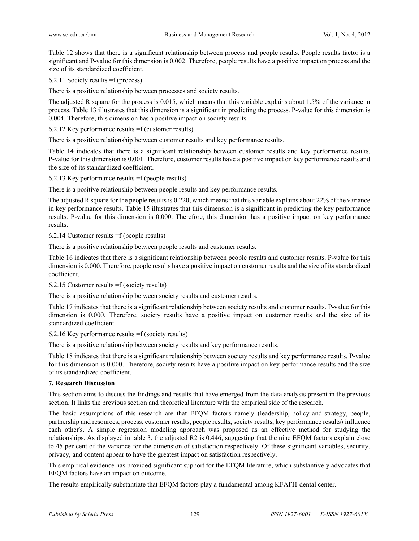Table 12 shows that there is a significant relationship between process and people results. People results factor is a significant and P-value for this dimension is 0.002. Therefore, people results have a positive impact on process and the size of its standardized coefficient.

6.2.11 Society results =f (process)

There is a positive relationship between processes and society results.

The adjusted R square for the process is 0.015, which means that this variable explains about 1.5% of the variance in process. Table 13 illustrates that this dimension is a significant in predicting the process. P-value for this dimension is 0.004. Therefore, this dimension has a positive impact on society results.

6.2.12 Key performance results =f (customer results)

There is a positive relationship between customer results and key performance results.

Table 14 indicates that there is a significant relationship between customer results and key performance results. P-value for this dimension is 0.001. Therefore, customer results have a positive impact on key performance results and the size of its standardized coefficient.

#### 6.2.13 Key performance results =f (people results)

There is a positive relationship between people results and key performance results.

The adjusted R square for the people results is 0.220, which means that this variable explains about 22% of the variance in key performance results. Table 15 illustrates that this dimension is a significant in predicting the key performance results. P-value for this dimension is 0.000. Therefore, this dimension has a positive impact on key performance results.

6.2.14 Customer results =f (people results)

There is a positive relationship between people results and customer results.

Table 16 indicates that there is a significant relationship between people results and customer results. P-value for this dimension is 0.000. Therefore, people results have a positive impact on customer results and the size of its standardized coefficient.

6.2.15 Customer results =f (society results)

There is a positive relationship between society results and customer results.

Table 17 indicates that there is a significant relationship between society results and customer results. P-value for this dimension is 0.000. Therefore, society results have a positive impact on customer results and the size of its standardized coefficient.

6.2.16 Key performance results =f (society results)

There is a positive relationship between society results and key performance results.

Table 18 indicates that there is a significant relationship between society results and key performance results. P-value for this dimension is 0.000. Therefore, society results have a positive impact on key performance results and the size of its standardized coefficient.

## **7. Research Discussion**

This section aims to discuss the findings and results that have emerged from the data analysis present in the previous section. It links the previous section and theoretical literature with the empirical side of the research.

The basic assumptions of this research are that EFQM factors namely (leadership, policy and strategy, people, partnership and resources, process, customer results, people results, society results, key performance results) influence each other's. A simple regression modeling approach was proposed as an effective method for studying the relationships. As displayed in table 3, the adjusted R2 is 0.446, suggesting that the nine EFQM factors explain close to 45 per cent of the variance for the dimension of satisfaction respectively. Of these significant variables, security, privacy, and content appear to have the greatest impact on satisfaction respectively.

This empirical evidence has provided significant support for the EFQM literature, which substantively advocates that EFQM factors have an impact on outcome.

The results empirically substantiate that EFQM factors play a fundamental among KFAFH-dental center.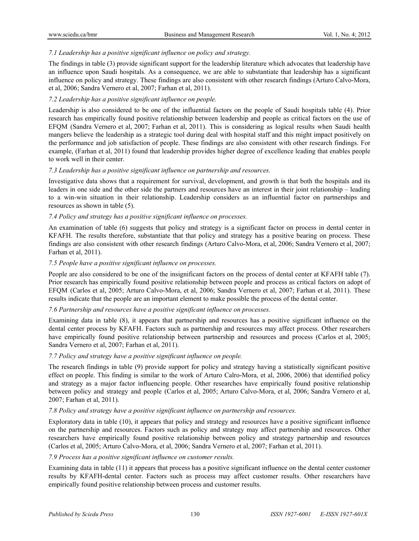## *7.1 Leadership has a positive significant influence on policy and strategy.*

The findings in table (3) provide significant support for the leadership literature which advocates that leadership have an influence upon Saudi hospitals. As a consequence, we are able to substantiate that leadership has a significant influence on policy and strategy. These findings are also consistent with other research findings (Arturo Calvo-Mora, et al, 2006; Sandra Vernero et al, 2007; Farhan et al, 2011).

## *7.2 Leadership has a positive significant influence on people.*

Leadership is also considered to be one of the influential factors on the people of Saudi hospitals table (4). Prior research has empirically found positive relationship between leadership and people as critical factors on the use of EFQM (Sandra Vernero et al, 2007; Farhan et al, 2011). This is considering as logical results when Saudi health mangers believe the leadership as a strategic tool during deal with hospital staff and this might impact positively on the performance and job satisfaction of people. These findings are also consistent with other research findings. For example, (Farhan et al, 2011) found that leadership provides higher degree of excellence leading that enables people to work well in their center.

## *7.3 Leadership has a positive significant influence on partnership and resources.*

Investigative data shows that a requirement for survival, development, and growth is that both the hospitals and its leaders in one side and the other side the partners and resources have an interest in their joint relationship – leading to a win-win situation in their relationship. Leadership considers as an influential factor on partnerships and resources as shown in table (5).

# *7.4 Policy and strategy has a positive significant influence on processes.*

An examination of table (6) suggests that policy and strategy is a significant factor on process in dental center in KFAFH. The results therefore, substantiate that that policy and strategy has a positive bearing on process. These findings are also consistent with other research findings (Arturo Calvo-Mora, et al, 2006; Sandra Vernero et al, 2007; Farhan et al, 2011).

## *7.5 People have a positive significant influence on processes.*

People are also considered to be one of the insignificant factors on the process of dental center at KFAFH table (7). Prior research has empirically found positive relationship between people and process as critical factors on adopt of EFQM (Carlos et al, 2005; Arturo Calvo-Mora, et al, 2006; Sandra Vernero et al, 2007; Farhan et al, 2011). These results indicate that the people are an important element to make possible the process of the dental center.

## *7.6 Partnership and resources have a positive significant influence on processes.*

Examining data in table (8), it appears that partnership and resources has a positive significant influence on the dental center process by KFAFH. Factors such as partnership and resources may affect process. Other researchers have empirically found positive relationship between partnership and resources and process (Carlos et al, 2005; Sandra Vernero et al, 2007; Farhan et al, 2011).

## *7.7 Policy and strategy have a positive significant influence on people.*

The research findings in table (9) provide support for policy and strategy having a statistically significant positive effect on people. This finding is similar to the work of Arturo Calro-Mora, et al, 2006, 2006) that identified policy and strategy as a major factor influencing people. Other researches have empirically found positive relationship between policy and strategy and people (Carlos et al, 2005; Arturo Calvo-Mora, et al, 2006; Sandra Vernero et al, 2007; Farhan et al, 2011).

## *7.8 Policy and strategy have a positive significant influence on partnership and resources.*

Exploratory data in table (10), it appears that policy and strategy and resources have a positive significant influence on the partnership and resources. Factors such as policy and strategy may affect partnership and resources. Other researchers have empirically found positive relationship between policy and strategy partnership and resources (Carlos et al, 2005; Arturo Calvo-Mora, et al, 2006; Sandra Vernero et al, 2007; Farhan et al, 2011).

## *7.9 Process has a positive significant influence on customer results.*

Examining data in table (11) it appears that process has a positive significant influence on the dental center customer results by KFAFH-dental center. Factors such as process may affect customer results. Other researchers have empirically found positive relationship between process and customer results.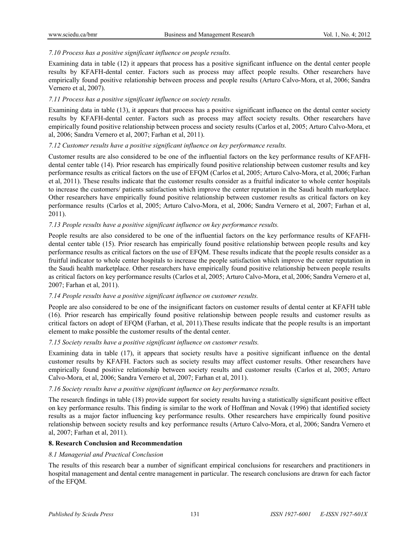# *7.10 Process has a positive significant influence on people results.*

Examining data in table (12) it appears that process has a positive significant influence on the dental center people results by KFAFH-dental center. Factors such as process may affect people results. Other researchers have empirically found positive relationship between process and people results (Arturo Calvo-Mora, et al, 2006; Sandra Vernero et al, 2007).

# *7.11 Process has a positive significant influence on society results.*

Examining data in table (13), it appears that process has a positive significant influence on the dental center society results by KFAFH-dental center. Factors such as process may affect society results. Other researchers have empirically found positive relationship between process and society results (Carlos et al, 2005; Arturo Calvo-Mora, et al, 2006; Sandra Vernero et al, 2007; Farhan et al, 2011).

## *7.12 Customer results have a positive significant influence on key performance results.*

Customer results are also considered to be one of the influential factors on the key performance results of KFAFHdental center table (14). Prior research has empirically found positive relationship between customer results and key performance results as critical factors on the use of EFQM (Carlos et al, 2005; Arturo Calvo-Mora, et al, 2006; Farhan et al, 2011). These results indicate that the customer results consider as a fruitful indicator to whole center hospitals to increase the customers/ patients satisfaction which improve the center reputation in the Saudi health marketplace. Other researchers have empirically found positive relationship between customer results as critical factors on key performance results (Carlos et al, 2005; Arturo Calvo-Mora, et al, 2006; Sandra Vernero et al, 2007; Farhan et al, 2011).

# *7.13 People results have a positive significant influence on key performance results.*

People results are also considered to be one of the influential factors on the key performance results of KFAFHdental center table (15). Prior research has empirically found positive relationship between people results and key performance results as critical factors on the use of EFQM. These results indicate that the people results consider as a fruitful indicator to whole center hospitals to increase the people satisfaction which improve the center reputation in the Saudi health marketplace. Other researchers have empirically found positive relationship between people results as critical factors on key performance results (Carlos et al, 2005; Arturo Calvo-Mora, et al, 2006; Sandra Vernero et al, 2007; Farhan et al, 2011).

# *7.14 People results have a positive significant influence on customer results.*

People are also considered to be one of the insignificant factors on customer results of dental center at KFAFH table (16). Prior research has empirically found positive relationship between people results and customer results as critical factors on adopt of EFQM (Farhan, et al, 2011).These results indicate that the people results is an important element to make possible the customer results of the dental center.

## *7.15 Society results have a positive significant influence on customer results.*

Examining data in table (17), it appears that society results have a positive significant influence on the dental customer results by KFAFH. Factors such as society results may affect customer results. Other researchers have empirically found positive relationship between society results and customer results (Carlos et al, 2005; Arturo Calvo-Mora, et al, 2006; Sandra Vernero et al, 2007; Farhan et al, 2011).

## *7.16 Society results have a positive significant influence on key performance results.*

The research findings in table (18) provide support for society results having a statistically significant positive effect on key performance results. This finding is similar to the work of Hoffman and Novak (1996) that identified society results as a major factor influencing key performance results. Other researchers have empirically found positive relationship between society results and key performance results (Arturo Calvo-Mora, et al, 2006; Sandra Vernero et al, 2007; Farhan et al, 2011).

## **8. Research Conclusion and Recommendation**

## *8.1 Managerial and Practical Conclusion*

The results of this research bear a number of significant empirical conclusions for researchers and practitioners in hospital management and dental centre management in particular. The research conclusions are drawn for each factor of the EFQM.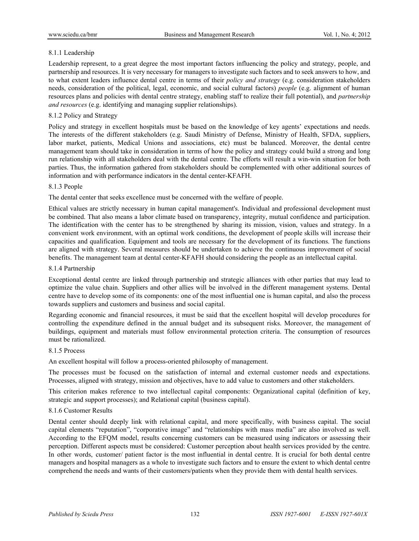## 8.1.1 Leadership

Leadership represent, to a great degree the most important factors influencing the policy and strategy, people, and partnership and resources. It is very necessary for managers to investigate such factors and to seek answers to how, and to what extent leaders influence dental centre in terms of their *policy and strategy* (e.g. consideration stakeholders needs, consideration of the political, legal, economic, and social cultural factors) *people* (e.g. alignment of human resources plans and policies with dental centre strategy, enabling staff to realize their full potential), and *partnership and resources* (e.g. identifying and managing supplier relationships).

# 8.1.2 Policy and Strategy

Policy and strategy in excellent hospitals must be based on the knowledge of key agents' expectations and needs. The interests of the different stakeholders (e.g. Saudi Ministry of Defense, Ministry of Health, SFDA, suppliers, labor market, patients, Medical Unions and associations, etc) must be balanced. Moreover, the dental centre management team should take in consideration in terms of how the policy and strategy could build a strong and long run relationship with all stakeholders deal with the dental centre. The efforts will result a win-win situation for both parties. Thus, the information gathered from stakeholders should be complemented with other additional sources of information and with performance indicators in the dental center-KFAFH.

## 8.1.3 People

The dental center that seeks excellence must be concerned with the welfare of people.

Ethical values are strictly necessary in human capital management's. Individual and professional development must be combined. That also means a labor climate based on transparency, integrity, mutual confidence and participation. The identification with the center has to be strengthened by sharing its mission, vision, values and strategy. In a convenient work environment, with an optimal work conditions, the development of people skills will increase their capacities and qualification. Equipment and tools are necessary for the development of its functions. The functions are aligned with strategy. Several measures should be undertaken to achieve the continuous improvement of social benefits. The management team at dental center-KFAFH should considering the people as an intellectual capital.

## 8.1.4 Partnership

Exceptional dental centre are linked through partnership and strategic alliances with other parties that may lead to optimize the value chain. Suppliers and other allies will be involved in the different management systems. Dental centre have to develop some of its components: one of the most influential one is human capital, and also the process towards suppliers and customers and business and social capital.

Regarding economic and financial resources, it must be said that the excellent hospital will develop procedures for controlling the expenditure defined in the annual budget and its subsequent risks. Moreover, the management of buildings, equipment and materials must follow environmental protection criteria. The consumption of resources must be rationalized.

# 8.1.5 Process

An excellent hospital will follow a process-oriented philosophy of management.

The processes must be focused on the satisfaction of internal and external customer needs and expectations. Processes, aligned with strategy, mission and objectives, have to add value to customers and other stakeholders.

This criterion makes reference to two intellectual capital components: Organizational capital (definition of key, strategic and support processes); and Relational capital (business capital).

## 8.1.6 Customer Results

Dental center should deeply link with relational capital, and more specifically, with business capital. The social capital elements "reputation", "corporative image" and "relationships with mass media" are also involved as well. According to the EFQM model, results concerning customers can be measured using indicators or assessing their perception. Different aspects must be considered: Customer perception about health services provided by the centre. In other words, customer/ patient factor is the most influential in dental centre. It is crucial for both dental centre managers and hospital managers as a whole to investigate such factors and to ensure the extent to which dental centre comprehend the needs and wants of their customers/patients when they provide them with dental health services.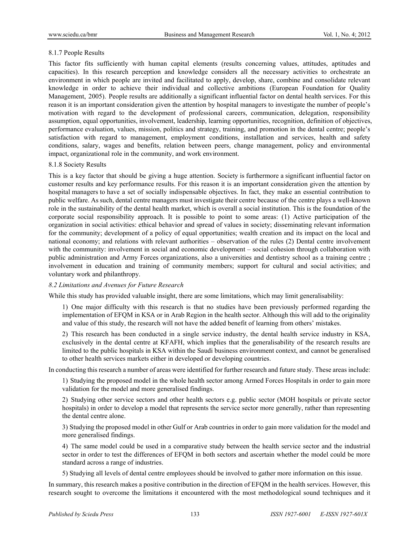## 8.1.7 People Results

This factor fits sufficiently with human capital elements (results concerning values, attitudes, aptitudes and capacities). In this research perception and knowledge considers all the necessary activities to orchestrate an environment in which people are invited and facilitated to apply, develop, share, combine and consolidate relevant knowledge in order to achieve their individual and collective ambitions (European Foundation for Quality Management, 2005). People results are additionally a significant influential factor on dental health services. For this reason it is an important consideration given the attention by hospital managers to investigate the number of people's motivation with regard to the development of professional careers, communication, delegation, responsibility assumption, equal opportunities, involvement, leadership, learning opportunities, recognition, definition of objectives, performance evaluation, values, mission, politics and strategy, training, and promotion in the dental centre; people's satisfaction with regard to management, employment conditions, installation and services, health and safety conditions, salary, wages and benefits, relation between peers, change management, policy and environmental impact, organizational role in the community, and work environment.

#### 8.1.8 Society Results

This is a key factor that should be giving a huge attention. Society is furthermore a significant influential factor on customer results and key performance results. For this reason it is an important consideration given the attention by hospital managers to have a set of socially indispensable objectives. In fact, they make an essential contribution to public welfare. As such, dental centre managers must investigate their centre because of the centre plays a well-known role in the sustainability of the dental health market, which is overall a social institution. This is the foundation of the corporate social responsibility approach. It is possible to point to some areas: (1) Active participation of the organization in social activities: ethical behavior and spread of values in society; disseminating relevant information for the community; development of a policy of equal opportunities; wealth creation and its impact on the local and national economy; and relations with relevant authorities – observation of the rules (2) Dental centre involvement with the community: involvement in social and economic development – social cohesion through collaboration with public administration and Army Forces organizations, also a universities and dentistry school as a training centre ; involvement in education and training of community members; support for cultural and social activities; and voluntary work and philanthropy.

## *8.2 Limitations and Avenues for Future Research*

While this study has provided valuable insight, there are some limitations, which may limit generalisability:

1) One major difficulty with this research is that no studies have been previously performed regarding the implementation of EFQM in KSA or in Arab Region in the health sector. Although this will add to the originality and value of this study, the research will not have the added benefit of learning from others' mistakes.

2) This research has been conducted in a single service industry, the dental health service industry in KSA, exclusively in the dental centre at KFAFH, which implies that the generalisability of the research results are limited to the public hospitals in KSA within the Saudi business environment context, and cannot be generalised to other health services markets either in developed or developing countries.

In conducting this research a number of areas were identified for further research and future study. These areas include:

1) Studying the proposed model in the whole health sector among Armed Forces Hospitals in order to gain more validation for the model and more generalised findings.

2) Studying other service sectors and other health sectors e.g. public sector (MOH hospitals or private sector hospitals) in order to develop a model that represents the service sector more generally, rather than representing the dental centre alone.

3) Studying the proposed model in other Gulf or Arab countries in order to gain more validation for the model and more generalised findings.

4) The same model could be used in a comparative study between the health service sector and the industrial sector in order to test the differences of EFOM in both sectors and ascertain whether the model could be more standard across a range of industries.

5) Studying all levels of dental centre employees should be involved to gather more information on this issue.

In summary, this research makes a positive contribution in the direction of EFQM in the health services. However, this research sought to overcome the limitations it encountered with the most methodological sound techniques and it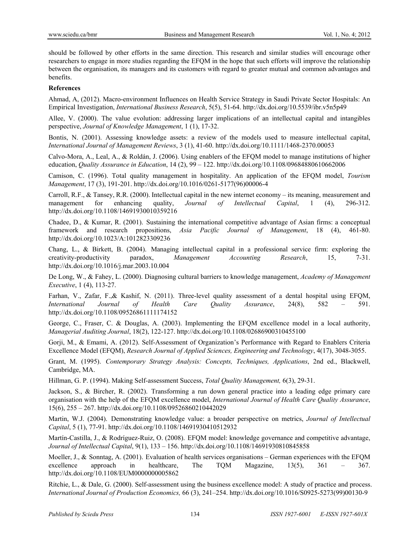should be followed by other efforts in the same direction. This research and similar studies will encourage other researchers to engage in more studies regarding the EFQM in the hope that such efforts will improve the relationship between the organisation, its managers and its customers with regard to greater mutual and common advantages and benefits.

## **References**

Ahmad, A, (2012). Macro-environment Influences on Health Service Strategy in Saudi Private Sector Hospitals: An Empirical Investigation, *International Business Research*, 5(5), 51-64. http://dx.doi.org/10.5539/ibr.v5n5p49

Allee, V. (2000). The value evolution: addressing larger implications of an intellectual capital and intangibles perspective, *Journal of Knowledge Management*, 1 (1), 17-32.

Bontis, N. (2001). Assessing knowledge assets: a review of the models used to measure intellectual capital, *International Journal of Management Reviews*, 3 (1), 41-60. http://dx.doi.org/10.1111/1468-2370.00053

Calvo-Mora, A., Leal, A., & Roldán, J. (2006). Using enablers of the EFQM model to manage institutions of higher education, *Quality Assurance in Education*, 14 (2), 99 – 122. http://dx.doi.org/10.1108/09684880610662006

Camison, C. (1996). Total quality management in hospitality. An application of the EFQM model, *Tourism Management*, 17 (3), 191-201. http://dx.doi.org/10.1016/0261-5177(96)00006-4

Carroll, R.F., & Tansey, R.R. (2000). Intellectual capital in the new internet economy – its meaning, measurement and management for enhancing quality, *Journal of Intellectual Capital*, 1 (4), 296-312. http://dx.doi.org/10.1108/14691930010359216

Chadee, D., & Kumar, R. (2001). Sustaining the international competitive advantage of Asian firms: a conceptual framework and research propositions, *Asia Pacific Journal of Management*, 18 (4), 461-80. http://dx.doi.org/10.1023/A:1012823309236

Chang, L., & Birkett, B. (2004). Managing intellectual capital in a professional service firm: exploring the creativity-productivity paradox, *Management Accounting Research*, 15, 7-31. http://dx.doi.org/10.1016/j.mar.2003.10.004

De Long, W., & Fahey, L. (2000). Diagnosing cultural barriers to knowledge management, *Academy of Management Executive*, 1 (4), 113-27.

Farhan, V., Zafar, F.,& Kashif, N. (2011). Three-level quality assessment of a dental hospital using EFQM, *International Journal of Health Care Quality Assurance*, 24(8), 582 – 591. http://dx.doi.org/10.1108/09526861111174152

George, C., Fraser, C. & Douglas, A. (2003). Implementing the EFQM excellence model in a local authority, *Managerial Auditing Journal*, 18(2), 122-127. http://dx.doi.org/10.1108/02686900310455100

Gorji, M., & Emami, A. (2012). Self-Assessment of Organization's Performance with Regard to Enablers Criteria Excellence Model (EFQM), *Research Journal of Applied Sciences, Engineering and Technology*, 4(17), 3048-3055.

Grant, M. (1995). *Contemporary Strategy Analysis: Concepts, Techniques, Applications*, 2nd ed., Blackwell, Cambridge, MA.

Hillman, G. P. (1994). Making Self-assessment Success, *Total Quality Management,* 6(3), 29-31.

Jackson, S., & Bircher, R. (2002). Transforming a run down general practice into a leading edge primary care organisation with the help of the EFQM excellence model, *International Journal of Health Care Quality Assurance*, 15(6), 255 – 267. http://dx.doi.org/10.1108/09526860210442029

Martin, W.J. (2004). Demonstrating knowledge value: a broader perspective on metrics, *Journal of Intellectual Capital*, 5 (1), 77-91. http://dx.doi.org/10.1108/14691930410512932

Martín-Castilla, J., & Rodríguez-Ruiz, O. (2008). EFQM model: knowledge governance and competitive advantage, *Journal of Intellectual Capital*, 9(1), 133 – 156. http://dx.doi.org/10.1108/14691930810845858

Moeller, J., & Sonntag, A. (2001). Evaluation of health services organisations – German experiences with the EFQM excellence approach in healthcare, The TQM Magazine,  $13(5)$ ,  $361 - 367$ . http://dx.doi.org/10.1108/EUM0000000005862

Ritchie, L., & Dale, G. (2000). Self-assessment using the business excellence model: A study of practice and process. *International Journal of Production Economics,* 66 (3), 241–254. http://dx.doi.org/10.1016/S0925-5273(99)00130-9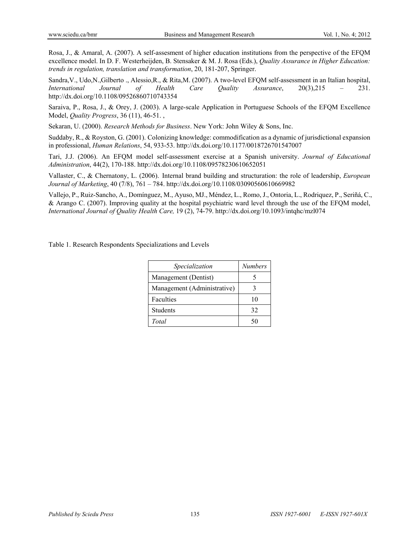Rosa, J., & Amaral, A. (2007). A self-assesment of higher education institutions from the perspective of the EFQM excellence model. In D. F. Westerheijden, B. Stensaker & M. J. Rosa (Eds.), *Quality Assurance in Higher Education: trends in regulation, translation and transformation*, 20, 181-207, Springer.

Sandra,V., Udo,N.,Gilberto ., Alessio,R., & Rita,M. (2007). A two-level EFQM self-assessment in an Italian hospital, *International Journal of Health Care Quality Assurance*, 20(3),215 – 231. http://dx.doi.org/10.1108/09526860710743354

Saraiva, P., Rosa, J., & Orey, J. (2003). A large-scale Application in Portuguese Schools of the EFQM Excellence Model, *Quality Progress*, 36 (11), 46-51. ,

Sekaran, U. (2000). *Research Methods for Business*. New York: John Wiley & Sons, Inc.

Suddaby, R., & Royston, G. (2001). Colonizing knowledge: commodification as a dynamic of jurisdictional expansion in professional, *Human Relations*, 54, 933-53. http://dx.doi.org/10.1177/0018726701547007

Tari, J.J. (2006). An EFQM model self-assessment exercise at a Spanish university. *Journal of Educational Administration*, 44(2), 170-188. http://dx.doi.org/10.1108/09578230610652051

Vallaster, C., & Chernatony, L. (2006). Internal brand building and structuration: the role of leadership, *European Journal of Marketing*, 40 (7/8), 761 – 784. http://dx.doi.org/10.1108/03090560610669982

Vallejo, P., Ruiz-Sancho, A., Domínguez, M., Ayuso, MJ., Méndez, L., Romo, J., Ontoria, L., Rodriquez, P., Seriñá, C., & Arango C. (2007). Improving quality at the hospital psychiatric ward level through the use of the EFQM model, *International Journal of Quality Health Care,* 19 (2), 74-79. http://dx.doi.org/10.1093/intqhc/mzl074

Table 1. Research Respondents Specializations and Levels

| Specialization              | <b>Numbers</b> |
|-----------------------------|----------------|
| Management (Dentist)        |                |
| Management (Administrative) |                |
| Faculties                   | 10             |
| <b>Students</b>             | 32             |
| Total                       |                |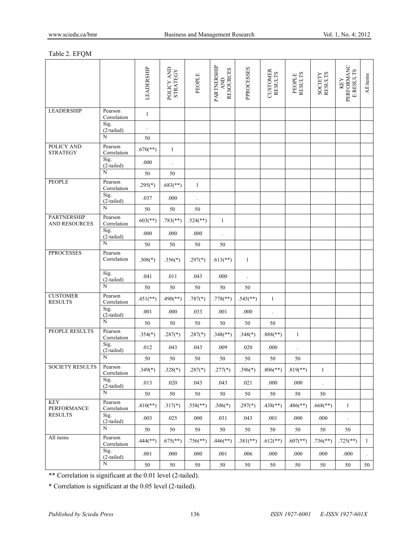## Table 2. EFQM

|                                             |                        | LEADERSHIP               | POLICY AND<br><b>STRATEGY</b> | PEOPLE                   | PARTNERSHIP<br><b>RESOURCES</b><br><b>AND</b> | PPROCESSES             | <b>CUSTOMER</b><br><b>RESULTS</b> | <b>RESULTS</b><br>PEOPLE | SOCIETY<br>RESULTS       | PERFORMANC<br><b>E RESULTS</b><br>KEY | All items    |
|---------------------------------------------|------------------------|--------------------------|-------------------------------|--------------------------|-----------------------------------------------|------------------------|-----------------------------------|--------------------------|--------------------------|---------------------------------------|--------------|
| <b>LEADERSHIP</b>                           | Pearson<br>Correlation | $\mathbf{1}$             |                               |                          |                                               |                        |                                   |                          |                          |                                       |              |
|                                             | Sig.<br>(2-tailed)     |                          |                               |                          |                                               |                        |                                   |                          |                          |                                       |              |
|                                             | $\overline{N}$         | 50                       |                               |                          |                                               |                        |                                   |                          |                          |                                       |              |
| POLICY AND<br><b>STRATEGY</b>               | Pearson<br>Correlation | $.670$ <sup>**</sup> )   | $\mathbf{1}$                  |                          |                                               |                        |                                   |                          |                          |                                       |              |
|                                             | Sig.<br>(2-tailed)     | $.000\,$                 |                               |                          |                                               |                        |                                   |                          |                          |                                       |              |
|                                             | N                      | 50                       | $50\,$                        |                          |                                               |                        |                                   |                          |                          |                                       |              |
| <b>PEOPLE</b>                               | Pearson<br>Correlation | $.295(*)$                | $.683$ <sup>**</sup> )        | $\mathbf{1}$             |                                               |                        |                                   |                          |                          |                                       |              |
|                                             | Sig.<br>(2-tailed)     | .037                     | .000                          | $\cdot$                  |                                               |                        |                                   |                          |                          |                                       |              |
|                                             | $\overline{N}$         | $50\,$                   | 50                            | 50                       |                                               |                        |                                   |                          |                          |                                       |              |
| <b>PARTNERSHIP</b><br><b>AND RESOURCES</b>  | Pearson<br>Correlation | $.603$ <sup>**</sup> )   | $.783$ <sup>**</sup> )        | $.524$ <sup>**</sup> )   | $\mathbf{1}$                                  |                        |                                   |                          |                          |                                       |              |
|                                             | Sig.<br>(2-tailed)     | $.000\,$                 | .000                          | $.000\,$                 | $\ddot{\phantom{0}}$                          |                        |                                   |                          |                          |                                       |              |
|                                             | $\overline{N}$         | $50\,$                   | $50\,$                        | 50                       | $50\,$                                        |                        |                                   |                          |                          |                                       |              |
| <b>PPROCESSES</b>                           | Pearson<br>Correlation | $.308(*)$                | $.356(*)$                     | $.297(*)$                | $.613$ <sup>**</sup> )                        | $\mathbf{1}$           |                                   |                          |                          |                                       |              |
|                                             | Sig.<br>(2-tailed)     | .041                     | .011                          | .043                     | .000                                          | $\ddot{\phantom{0}}$   |                                   |                          |                          |                                       |              |
|                                             | $\overline{N}$         | 50                       | 50                            | 50                       | 50                                            | 50                     |                                   |                          |                          |                                       |              |
| <b>CUSTOMER</b><br><b>RESULTS</b>           | Pearson<br>Correlation | $.451$ <sup>**</sup> )   | $.490$ (**)                   | $.787(*)$                | $.778$ <sup>**</sup> )                        | $.545$ <sup>**</sup> ) | $1\,$                             |                          |                          |                                       |              |
|                                             | Sig.<br>(2-tailed)     | .001                     | .000                          | .033                     | .001                                          | .000                   | $\ddot{\phantom{0}}$              |                          |                          |                                       |              |
|                                             | N                      | $50\,$                   | 50                            | 50                       | 50                                            | 50                     | 50                                |                          |                          |                                       |              |
| PEOPLE RESULTS                              | Pearson<br>Correlation | $.354(*)$                | $.287(*)$                     | $.287(*)$                | $.348$ <sup>**</sup> )                        | $.348(*)$              | $.888$ <sup>(**)</sup> )          | $\mathbf{1}$             |                          |                                       |              |
|                                             | Sig.<br>$(2$ -tailed)  | .012                     | .043                          | .043                     | .009                                          | .020                   | .000                              | $\cdot$                  |                          |                                       |              |
|                                             | $\overline{N}$         | 50                       | 50                            | 50                       | 50                                            | 50                     | 50                                | $50\,$                   |                          |                                       |              |
| <b>SOCIETY RESULTS</b>                      | Pearson<br>Correlation | $.349(*)$                | $.328(*)$                     | $.287(*)$                | $.277(*)$                                     | $.396(*)$              | $.806$ <sup>(**)</sup> )          | $.819$ <sup>**</sup> )   | $\,1\,$                  |                                       |              |
|                                             | Sig.<br>(2-tailed)     | .013                     | .020                          | .043                     | .043                                          | .021                   | .000                              | .000                     |                          |                                       |              |
|                                             | $\overline{N}$         | 50                       | 50                            | 50                       | 50                                            | 50                     | $50\,$                            | $50\,$                   | 50                       |                                       |              |
| <b>KEY</b><br>PERFORMANCE<br><b>RESULTS</b> | Pearson<br>Correlation | $.410$ <sup>**</sup> )   | $.317(*)$                     | $.558$ <sup>(**)</sup> ) | $.306(*)$                                     | $.297(*)$              | $.438$ <sup>**</sup> )            | $.486$ <sup>**</sup> )   | $.668$ <sup>(**)</sup> ) | $\mathbf{1}$                          |              |
|                                             | Sig.<br>$(2-tailed)$   | .003                     | .025                          | .000                     | .031                                          | .043                   | .001                              | .000                     | .000                     | $\Box$                                |              |
|                                             | N                      | 50                       | $50\,$                        | $50\,$                   | 50                                            | 50                     | $50\,$                            | $50\,$                   | 50                       | 50                                    |              |
| All items                                   | Pearson<br>Correlation | $.444$ <sup>(**)</sup> ) | $.675$ <sup>**</sup> )        | $.756$ <sup>**</sup> )   | $.446$ <sup>**</sup> )                        | $.381$ (**)            | $.612$ <sup>**</sup> )            | $.607$ <sup>**</sup> )   | $.736$ <sup>**</sup> )   | $.725$ <sup>**</sup> )                | $\mathbf{1}$ |
|                                             | Sig.<br>(2-tailed)     | .001                     | .000                          | .000                     | .001                                          | .006                   | .000                              | .000                     | .000                     | .000                                  |              |
|                                             | $\overline{N}$         | 50                       | $50\,$                        | 50                       | 50                                            | 50                     | $50\,$                            | $50\,$                   | $50\,$                   | 50                                    | 50           |

\*\* Correlation is significant at the 0.01 level (2-tailed).

\* Correlation is significant at the 0.05 level (2-tailed).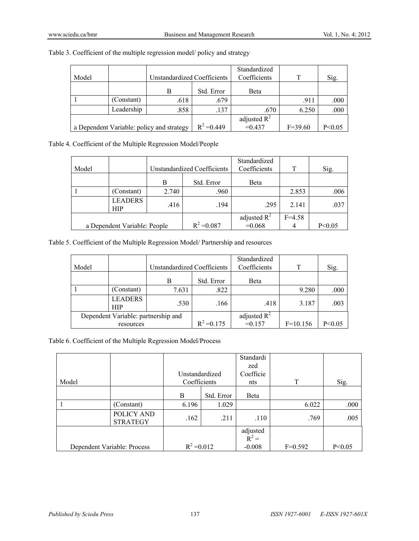|       |            |                                           |               | Standardized   |             |          |
|-------|------------|-------------------------------------------|---------------|----------------|-------------|----------|
| Model |            | Unstandardized Coefficients               |               | Coefficients   | т           | Sig.     |
|       |            | В                                         | Std. Error    | Beta           |             |          |
|       | (Constant) | .618                                      | .679          |                | .911        | .000     |
|       | Leadership | .858                                      | .137          | .670           | 6.250       | .000     |
|       |            |                                           |               | adjusted $R^2$ |             |          |
|       |            | a Dependent Variable: policy and strategy | $R^2 = 0.449$ | $=0.437$       | $F = 39.60$ | P < 0.05 |

Table 3. Coefficient of the multiple regression model/ policy and strategy

Table 4. Coefficient of the Multiple Regression Model/People

|       |                              |                             |               | Standardized   |            |          |
|-------|------------------------------|-----------------------------|---------------|----------------|------------|----------|
| Model |                              | Unstandardized Coefficients |               | Coefficients   |            | Sig.     |
|       |                              | В                           | Std. Error    | Beta           |            |          |
|       | (Constant)                   | 2.740                       | .960          |                | 2.853      | .006     |
|       | <b>LEADERS</b><br><b>HIP</b> | .416                        | .194          | .295           | 2.141      | .037     |
|       |                              |                             |               | adjusted $R^2$ | $F = 4.58$ |          |
|       | a Dependent Variable: People |                             | $R^2 = 0.087$ | $=0.068$       |            | P < 0.05 |

Table 5. Coefficient of the Multiple Regression Model/ Partnership and resources

| Model                               |                              | Unstandardized Coefficients |                | Standardized<br>Coefficients | T        | Sig. |
|-------------------------------------|------------------------------|-----------------------------|----------------|------------------------------|----------|------|
|                                     |                              | В                           | Std. Error     | Beta                         |          |      |
|                                     | (Constant)                   | 7.631                       | .822           |                              | 9.280    | .000 |
|                                     | <b>LEADERS</b><br><b>HIP</b> | .530                        | .166           | .418                         | 3.187    | .003 |
| Dependent Variable: partnership and |                              |                             | adjusted $R^2$ |                              |          |      |
| resources                           |                              | $R^2 = 0.175$               | $=0.157$       | $F=10.156$                   | P < 0.05 |      |

Table 6. Coefficient of the Multiple Regression Model/Process

|       |                               |                |            | Standardi           |           |          |
|-------|-------------------------------|----------------|------------|---------------------|-----------|----------|
|       |                               |                |            | zed                 |           |          |
|       |                               | Unstandardized |            | Coefficie           |           |          |
| Model |                               | Coefficients   |            | nts                 | T         | Sig.     |
|       |                               | B              | Std. Error | Beta                |           |          |
|       | (Constant)                    | 6.196          | 1.029      |                     | 6.022     | .000     |
|       | POLICY AND<br><b>STRATEGY</b> | .162           | .211       | .110                | .769      | .005     |
|       |                               |                |            | adjusted<br>$R^2 =$ |           |          |
|       | Dependent Variable: Process   | $R^2 = 0.012$  |            | $-0.008$            | $F=0.592$ | P < 0.05 |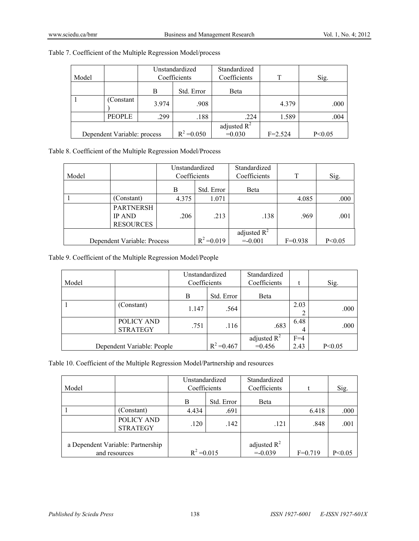|       |                             | Unstandardized |               | Standardized   |             |          |
|-------|-----------------------------|----------------|---------------|----------------|-------------|----------|
| Model |                             | Coefficients   |               | Coefficients   | T           | Sig.     |
|       |                             | B              | Std. Error    | Beta           |             |          |
|       | (Constant)                  | 3.974          | .908          |                | 4.379       | .000     |
|       | <b>PEOPLE</b>               | .299           | .188          | .224           | 1.589       | .004     |
|       |                             |                |               | adjusted $R^2$ |             |          |
|       | Dependent Variable: process |                | $R^2 = 0.050$ | $=0.030$       | $F = 2.524$ | P < 0.05 |

# Table 7. Coefficient of the Multiple Regression Model/process

Table 8. Coefficient of the Multiple Regression Model/Process

| Model |                                                       | Unstandardized<br>Coefficients |               | Standardized<br>Coefficients | T         | Sig.     |
|-------|-------------------------------------------------------|--------------------------------|---------------|------------------------------|-----------|----------|
|       |                                                       | B                              | Std. Error    | <b>B</b> eta                 |           |          |
|       | (Constant)                                            | 4.375                          | 1.071         |                              | 4.085     | .000     |
|       | <b>PARTNERSH</b><br><b>IP AND</b><br><b>RESOURCES</b> | .206                           | .213          | .138                         | .969      | .001     |
|       |                                                       |                                |               | adjusted $R^2$               |           |          |
|       | Dependent Variable: Process                           |                                | $R^2 = 0.019$ | $=-0.001$                    | $F=0.938$ | P < 0.05 |

Table 9. Coefficient of the Multiple Regression Model/People

| Model |                               | Unstandardized<br>Coefficients |               | Standardized<br>Coefficients |           | Sig.     |
|-------|-------------------------------|--------------------------------|---------------|------------------------------|-----------|----------|
|       |                               | B                              | Std. Error    | Beta                         |           |          |
|       | (Constant)                    | 1.147                          | .564          |                              | 2.03      | .000     |
|       | POLICY AND<br><b>STRATEGY</b> | .751                           | .116          | .683                         | 6.48<br>4 | .000     |
|       |                               |                                |               | adjusted $R^2$               | $F=4$     |          |
|       | Dependent Variable: People    |                                | $R^2 = 0.467$ | $=0.456$                     | 2.43      | P < 0.05 |

Table 10. Coefficient of the Multiple Regression Model/Partnership and resources

| Model                                              |                               | Unstandardized<br>Coefficients |            | Standardized<br>Coefficients |           | Sig.     |
|----------------------------------------------------|-------------------------------|--------------------------------|------------|------------------------------|-----------|----------|
|                                                    |                               | B                              | Std. Error | Beta                         |           |          |
|                                                    | (Constant)                    | 4.434                          | .691       |                              | 6.418     | .000     |
|                                                    | POLICY AND<br><b>STRATEGY</b> | .120                           | .142       | .121                         | .848      | .001     |
| a Dependent Variable: Partnership<br>and resources |                               | $R^2 = 0.015$                  |            | adjusted $R^2$<br>$= -0.039$ | $F=0.719$ | P < 0.05 |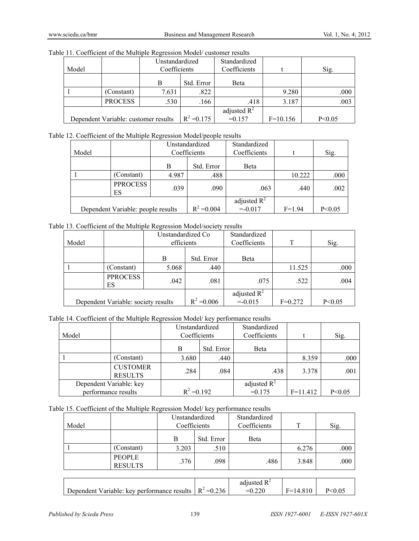|  |  | Table 11. Coefficient of the Multiple Regression Model/customer results |
|--|--|-------------------------------------------------------------------------|
|  |  |                                                                         |

| Model                                |                | Unstandardized<br>Coefficients |               | Standardized<br>Coefficients |            | Sig.     |  |
|--------------------------------------|----------------|--------------------------------|---------------|------------------------------|------------|----------|--|
|                                      |                | Std. Error<br>B                |               | Beta                         |            |          |  |
|                                      | (Constant)     | 7.631                          | .822          |                              | 9.280      | .000     |  |
|                                      | <b>PROCESS</b> | .530                           | .166          | .418                         | 3.187      | .003     |  |
| Dependent Variable: customer results |                |                                | $R^2 = 0.175$ | adjusted $R^2$<br>$=0.157$   | $F=10.156$ | P < 0.05 |  |

Table 12. Coefficient of the Multiple Regression Model/people results

|                                    |                       | Unstandardized  |                              | Standardized |          |      |
|------------------------------------|-----------------------|-----------------|------------------------------|--------------|----------|------|
| Model                              |                       | Coefficients    |                              | Coefficients |          | Sig. |
|                                    |                       | Std. Error<br>В |                              | Beta         |          |      |
|                                    | (Constant)            | 4.987           | .488                         |              | 10.222   | .000 |
|                                    | <b>PPROCESS</b><br>ES | .039            | .090                         | .063         | .440     | .002 |
| Dependent Variable: people results |                       | $R^2 = 0.004$   | adjusted $R^2$<br>$= -0.017$ | $F=1.94$     | P < 0.05 |      |

Table 13. Coefficient of the Multiple Regression Model/society results

|                                     |                       | Unstandardized Co |                             | Standardized |          |      |
|-------------------------------------|-----------------------|-------------------|-----------------------------|--------------|----------|------|
| Model                               |                       | efficients        |                             | Coefficients | T        | Sig. |
|                                     |                       | B                 | Std. Error                  | <b>B</b> eta |          |      |
|                                     | (Constant)            | 5.068             | .440                        |              | 11.525   | .000 |
|                                     | <b>PPROCESS</b><br>ES | .042              | .081                        | .075         | .522     | .004 |
| Dependent Variable: society results |                       | $R^2 = 0.006$     | adjusted $R^2$<br>$= 0.015$ | $F=0.272$    | P < 0.05 |      |

## Table 14. Coefficient of the Multiple Regression Model/ key performance results

| Model                                          |                                   | Unstandardized<br>Coefficients |      | Standardized<br>Coefficients |            | Sig.     |
|------------------------------------------------|-----------------------------------|--------------------------------|------|------------------------------|------------|----------|
|                                                |                                   | Std. Error<br>B                |      | Beta                         |            |          |
|                                                | (Constant)                        | 3.680                          | .440 |                              | 8.359      | .000     |
|                                                | <b>CUSTOMER</b><br><b>RESULTS</b> | .284                           | .084 | .438                         | 3.378      | .001     |
| Dependent Variable: key<br>performance results |                                   | $R^2 = 0.192$                  |      | adjusted $R^2$<br>$=0.175$   | $F=11.412$ | P < 0.05 |

# Table 15. Coefficient of the Multiple Regression Model/ key performance results

| Model |                                 | Unstandardized<br>Coefficients |            | Standardized<br>Coefficients | т     | Sig. |
|-------|---------------------------------|--------------------------------|------------|------------------------------|-------|------|
|       |                                 | В                              | Std. Error | Beta                         |       |      |
|       | (Constant)                      | 3.203                          | .510       |                              | 6.276 | .000 |
|       | <b>PEOPLE</b><br><b>RESULTS</b> | .376                           | .098       | .486                         | 3.848 | .000 |

|                                                                   | adjusted $R^2$ |            |  |
|-------------------------------------------------------------------|----------------|------------|--|
| Dependent Variable: key performance results $\mathbb{R}^2$ =0.236 |                | $F=14.810$ |  |